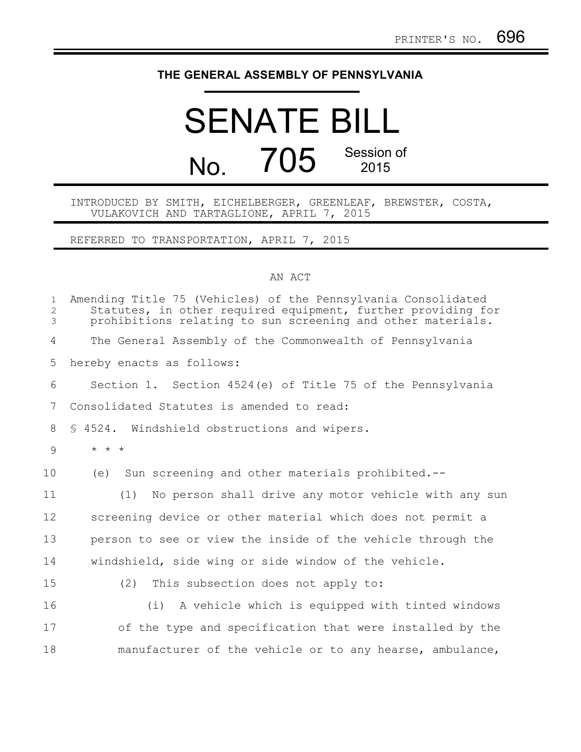## **THE GENERAL ASSEMBLY OF PENNSYLVANIA**

## SENATE BILL No. 705 Session of 2015

## INTRODUCED BY SMITH, EICHELBERGER, GREENLEAF, BREWSTER, COSTA, VULAKOVICH AND TARTAGLIONE, APRIL 7, 2015

REFERRED TO TRANSPORTATION, APRIL 7, 2015

## AN ACT

| $\mathbf{1}$<br>$\overline{2}$<br>3 | Amending Title 75 (Vehicles) of the Pennsylvania Consolidated<br>Statutes, in other required equipment, further providing for<br>prohibitions relating to sun screening and other materials. |
|-------------------------------------|----------------------------------------------------------------------------------------------------------------------------------------------------------------------------------------------|
| 4                                   | The General Assembly of the Commonwealth of Pennsylvania                                                                                                                                     |
| 5                                   | hereby enacts as follows:                                                                                                                                                                    |
| 6                                   | Section 1. Section 4524(e) of Title 75 of the Pennsylvania                                                                                                                                   |
| 7                                   | Consolidated Statutes is amended to read:                                                                                                                                                    |
| 8                                   | § 4524. Windshield obstructions and wipers.                                                                                                                                                  |
| 9                                   | $\star$ $\star$ $\star$                                                                                                                                                                      |
| 10                                  | Sun screening and other materials prohibited.--<br>(e)                                                                                                                                       |
| 11                                  | No person shall drive any motor vehicle with any sun<br>(1)                                                                                                                                  |
| 12                                  | screening device or other material which does not permit a                                                                                                                                   |
| 13                                  | person to see or view the inside of the vehicle through the                                                                                                                                  |
| 14                                  | windshield, side wing or side window of the vehicle.                                                                                                                                         |
| 15                                  | This subsection does not apply to:<br>(2)                                                                                                                                                    |
| 16                                  | (i) A vehicle which is equipped with tinted windows                                                                                                                                          |
| 17                                  | of the type and specification that were installed by the                                                                                                                                     |
| 18                                  | manufacturer of the vehicle or to any hearse, ambulance,                                                                                                                                     |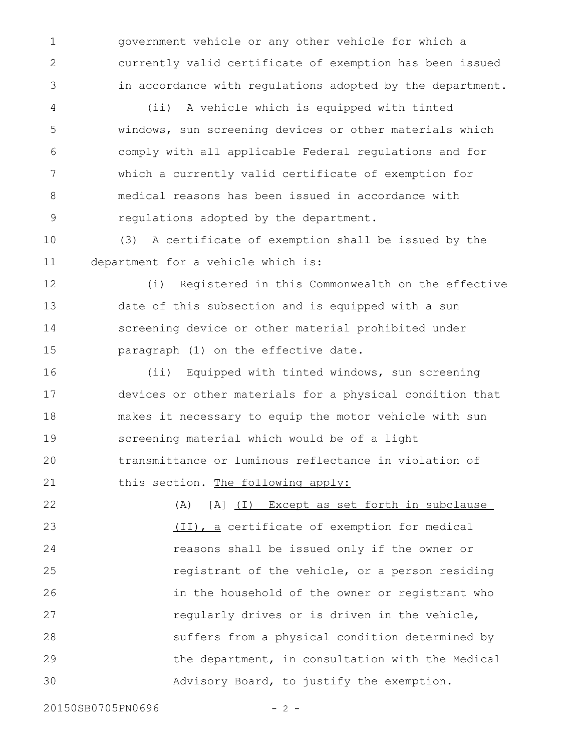government vehicle or any other vehicle for which a currently valid certificate of exemption has been issued in accordance with regulations adopted by the department.

(ii) A vehicle which is equipped with tinted windows, sun screening devices or other materials which comply with all applicable Federal regulations and for which a currently valid certificate of exemption for medical reasons has been issued in accordance with regulations adopted by the department. 4 5 6 7 8 9

(3) A certificate of exemption shall be issued by the department for a vehicle which is: 10 11

(i) Registered in this Commonwealth on the effective date of this subsection and is equipped with a sun screening device or other material prohibited under paragraph (1) on the effective date. 12 13 14 15

(ii) Equipped with tinted windows, sun screening devices or other materials for a physical condition that makes it necessary to equip the motor vehicle with sun screening material which would be of a light transmittance or luminous reflectance in violation of this section. The following apply: 16 17 18 19 20 21

(A) [A] (I) Except as set forth in subclause (II), a certificate of exemption for medical reasons shall be issued only if the owner or registrant of the vehicle, or a person residing in the household of the owner or registrant who regularly drives or is driven in the vehicle, suffers from a physical condition determined by the department, in consultation with the Medical Advisory Board, to justify the exemption. 22 23 24 25 26 27 28 29 30

20150SB0705PN0696 - 2 -

1

2

3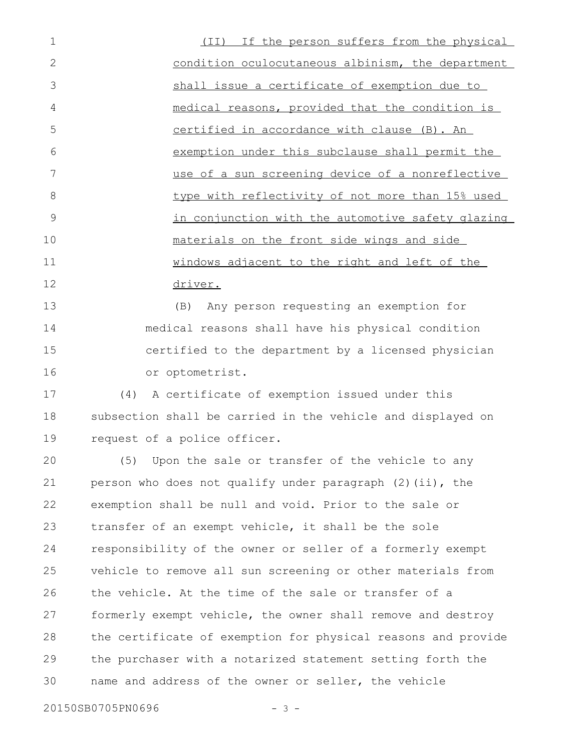(II) If the person suffers from the physical condition oculocutaneous albinism, the department shall issue a certificate of exemption due to medical reasons, provided that the condition is certified in accordance with clause (B). An exemption under this subclause shall permit the use of a sun screening device of a nonreflective type with reflectivity of not more than 15% used in conjunction with the automotive safety glazing materials on the front side wings and side windows adjacent to the right and left of the driver. 1 2 3 4 5 6 7 8 9 10 11 12

(B) Any person requesting an exemption for medical reasons shall have his physical condition certified to the department by a licensed physician or optometrist. 13 14 15 16

(4) A certificate of exemption issued under this subsection shall be carried in the vehicle and displayed on request of a police officer. 17 18 19

(5) Upon the sale or transfer of the vehicle to any person who does not qualify under paragraph (2)(ii), the exemption shall be null and void. Prior to the sale or transfer of an exempt vehicle, it shall be the sole responsibility of the owner or seller of a formerly exempt vehicle to remove all sun screening or other materials from the vehicle. At the time of the sale or transfer of a formerly exempt vehicle, the owner shall remove and destroy the certificate of exemption for physical reasons and provide the purchaser with a notarized statement setting forth the name and address of the owner or seller, the vehicle 20 21 22 23 24 25 26 27 28 29 30

20150SB0705PN0696 - 3 -